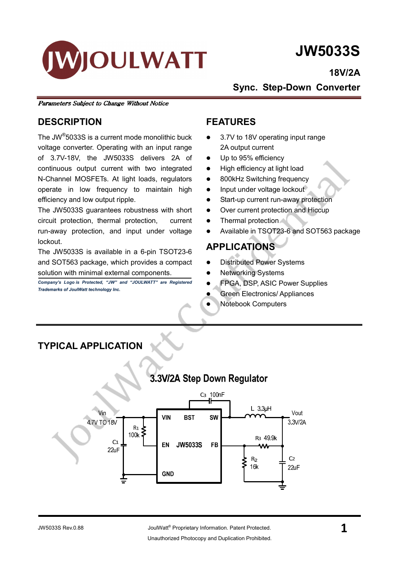

# JW5033S

18V/2A

Sync. Step-Down Converter

Parameters Subject to Change Without Notice

### **DESCRIPTION**

The JW® 5033S is a current mode monolithic buck voltage converter. Operating with an input range of 3.7V-18V, the JW5033S delivers 2A of continuous output current with two integrated N-Channel MOSFETs. At light loads, regulators operate in low frequency to maintain high efficiency and low output ripple.

The JW5033S guarantees robustness with short circuit protection, thermal protection, current run-away protection, and input under voltage lockout.

The JW5033S is available in a 6-pin TSOT23-6 and SOT563 package, which provides a compact solution with minimal external components.

Company's Logo is Protected, "JW" and "JOULWATT" are Registered Trademarks of JoulWatt technology Inc.

### FEATURES

- 3.7V to 18V operating input range 2A output current
- Up to 95% efficiency
- High efficiency at light load
- 800kHz Switching frequency
- Input under voltage lockout
- Start-up current run-away protection
- Over current protection and Hiccup
- Thermal protection
- Available in TSOT23-6 and SOT563 package

### APPLICATIONS

- Distributed Power Systems
- Networking Systems
- FPGA, DSP, ASIC Power Supplies
- Green Electronics/ Appliances
- Notebook Computers

### TYPICAL APPLICATION

### 3.3V/2A Step Down Regulator

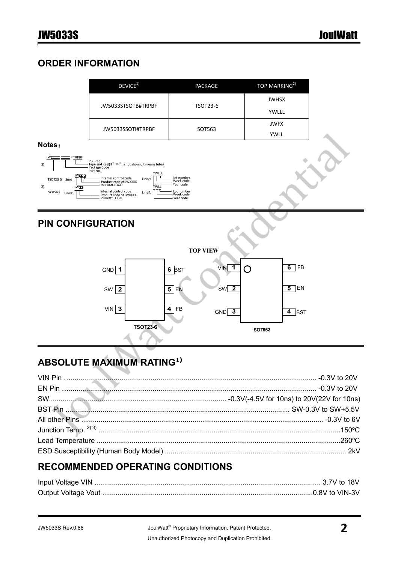### ORDER INFORMATION

|                                                                                                                 | DEVICE <sup>1</sup>                                                                                                                                                                                                                                                                 | PACKAGE                                                                      | TOP MARKING <sup>2)</sup>  |  |
|-----------------------------------------------------------------------------------------------------------------|-------------------------------------------------------------------------------------------------------------------------------------------------------------------------------------------------------------------------------------------------------------------------------------|------------------------------------------------------------------------------|----------------------------|--|
|                                                                                                                 | JW5033STSOTB#TRPBF                                                                                                                                                                                                                                                                  | <b>TSOT23-6</b>                                                              |                            |  |
|                                                                                                                 | JW5033SSOTI#TRPBF                                                                                                                                                                                                                                                                   | SOT563                                                                       | <b>JWFX</b><br><b>YWLL</b> |  |
| Notes:<br><b>JW</b><br>#TRPBF<br>1)<br><b>JW000</b><br>TSOT23-6 Line1:<br>2)<br><b>JWOO</b><br>SOT563<br>Line1: | - PB Free<br>- Tape and Reel(If" TR" is not shown, it means tube)<br>- Package Code<br>Part No.<br>YWLLL<br>Internal control code<br>Line2:<br>Product code of JWXXXX<br>Joulwatt LOGO<br><b>YWLL</b><br>Internal control code<br>Line2:<br>Product code of JWXXXX<br>Joulwatt LOGO | Lot number<br>Week code<br>Year code<br>Lot number<br>Week code<br>Year code |                            |  |
|                                                                                                                 |                                                                                                                                                                                                                                                                                     |                                                                              |                            |  |
| <b>PIN CONFIGURATION</b>                                                                                        |                                                                                                                                                                                                                                                                                     | <b>TOP VIEW</b>                                                              |                            |  |
|                                                                                                                 | GND<br>∣ 1                                                                                                                                                                                                                                                                          | <b>VIN</b><br>1<br>6 $ _{\text{BST}}$                                        | 6<br><b>FB</b><br>O        |  |
|                                                                                                                 | $\overline{\mathbf{2}}$<br>SW                                                                                                                                                                                                                                                       | SW <sup>2</sup><br>5 EN                                                      | 5<br>]EN                   |  |
|                                                                                                                 | $\overline{\mathbf{3}}$<br>VIN                                                                                                                                                                                                                                                      | 4<br>FB<br>GND<br>$\overline{\mathbf{3}}$                                    | $\overline{4}$ BST         |  |

# ABSOLUTE MAXIMUM RATING1)

### RECOMMENDED OPERATING CONDITIONS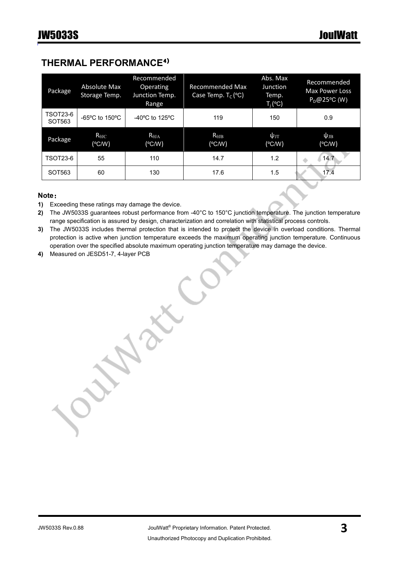### THERMAL PERFORMANCE4)

| Package            | Absolute Max<br>Storage Temp.       | Recommended<br>Operating<br>Junction Temp.<br>Range | <b>Recommended Max</b><br>Case Temp. $T_c$ (°C) | Abs. Max<br>Junction<br>Temp.<br>$T_i$ (°C) | Recommended<br><b>Max Power Loss</b><br>$P_D@25°C$ (W) |
|--------------------|-------------------------------------|-----------------------------------------------------|-------------------------------------------------|---------------------------------------------|--------------------------------------------------------|
| TSOT23-6<br>SOT563 | $-65^{\circ}$ C to 150 $^{\circ}$ C | $-40^{\circ}$ C to 125 $^{\circ}$ C                 | 119                                             | 150                                         | 0.9                                                    |
| Package            | $R_{\theta$ JC<br>$(^{\circ}$ C/W)  | $R_{\theta JA}$<br>$(^{\circ}$ C/W)                 | $R_{\theta$ JB<br>$(^{\circ}C/W)$               | $\psi_{\text{JT}}$<br>$(^{\circ}$ C/W)      | $\psi_{\rm JB}$<br>$(^{\circ}$ C/W)                    |
| TSOT23-6           | 55                                  | 110                                                 | 14.7                                            | 1.2                                         | 14.7                                                   |
| SOT563             | 60                                  | 130                                                 | 17.6                                            | 1.5                                         | 17.4                                                   |

#### Note:

- 1) Exceeding these ratings may damage the device.
- 2) The JW5033S guarantees robust performance from -40°C to 150°C junction temperature. The junction temperature range specification is assured by design, characterization and correlation with statistical process controls.
- 3) The JW5033S includes thermal protection that is intended to protect the device in overload conditions. Thermal protection is active when junction temperature exceeds the maximum operating junction temperature. Continuous operation over the specified absolute maximum operating junction temperature may damage the device.
- 4) Measured on JESD51-7, 4-layer PCB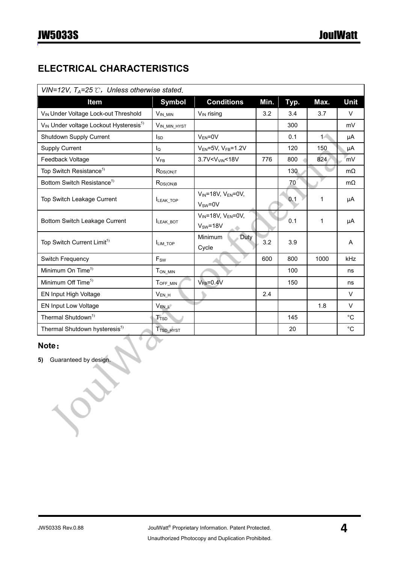### ELECTRICAL CHARACTERISTICS

| VIN=12V, $T_A$ =25 $\mathcal{C}$ , Unless otherwise stated.    |                            |                                                |      |      |       |              |
|----------------------------------------------------------------|----------------------------|------------------------------------------------|------|------|-------|--------------|
| Item                                                           | <b>Symbol</b>              | <b>Conditions</b>                              | Min. | Typ. | Max.  | Unit         |
| V <sub>IN</sub> Under Voltage Lock-out Threshold               | $V_{IN\_MIN}$              | $V_{IN}$ rising                                | 3.2  | 3.4  | 3.7   | V            |
| V <sub>IN</sub> Under voltage Lockout Hysteresis <sup>5)</sup> | VIN_MIN_HYST               |                                                |      | 300  |       | mV           |
| Shutdown Supply Current                                        | <sub>sp</sub>              | $V_{EN} = 0V$                                  |      | 0.1  | $1 -$ | μA           |
| <b>Supply Current</b>                                          | $\mathsf{I}_\Omega$        | $V_{EN}$ =5V, $V_{FB}$ =1.2V                   |      | 120  | 150   | μA           |
| Feedback Voltage                                               | $V_{FB}$                   | 3.7V <v<sub>VIN&lt;18V</v<sub>                 | 776  | 800  | 824   | mV           |
| Top Switch Resistance <sup>5)</sup>                            | $R_{DS(ON)T}$              |                                                |      | 130  |       | $m\Omega$    |
| Bottom Switch Resistance <sup>5)</sup>                         | $R_{DS(ON)B}$              |                                                |      | 70   |       | $m\Omega$    |
| Top Switch Leakage Current                                     | LEAK_TOP                   | $V_{IN}$ =18V, $V_{EN}$ =0V,<br>$V_{SW} = 0V$  |      | 0.1  | 1     | μA           |
| Bottom Switch Leakage Current                                  | <b>ILEAK BOT</b>           | $V_{IN}$ =18V, $V_{EN}$ =0V,<br>$V_{SW} = 18V$ |      | 0.1  | 1     | μA           |
| Top Switch Current Limit <sup>5)</sup>                         | ILIM_TOP                   | Minimum<br>Duty<br>Cycle                       | 3.2  | 3.9  |       | A            |
| Switch Frequency                                               | $\mathsf{F}_{\mathsf{SW}}$ |                                                | 600  | 800  | 1000  | kHz          |
| Minimum On Time <sup>5)</sup>                                  | $T_{ON\_MIN}$              |                                                |      | 100  |       | ns           |
| Minimum Off Time <sup>5)</sup>                                 | TOFF_MIN                   | $V_{FB} = 0.4V$                                |      | 150  |       | ns           |
| EN Input High Voltage                                          | $V_{EN_H}$                 |                                                | 2.4  |      |       | $\vee$       |
| EN Input Low Voltage                                           | V <sub>EN_L</sub>          |                                                |      |      | 1.8   | $\vee$       |
| Thermal Shutdown <sup>5)</sup>                                 | <b>T</b> <sub>TSD</sub>    |                                                |      | 145  |       | $^{\circ}$ C |
| Thermal Shutdown hysteresis <sup>5)</sup>                      | T <sub>TSD_HYST</sub>      |                                                |      | 20   |       | $^{\circ}C$  |

#### Note:

5) Guaranteed by design.

╲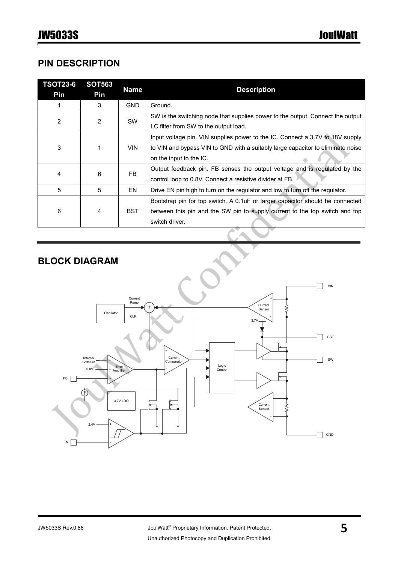### PIN DESCRIPTION

| <b>TSOT23-6</b><br>Pin | <b>SOT563</b><br>Pin | <b>Name</b> | <b>Description</b>                                                                                                                                                                          |
|------------------------|----------------------|-------------|---------------------------------------------------------------------------------------------------------------------------------------------------------------------------------------------|
|                        | 3                    | <b>GND</b>  | Ground.                                                                                                                                                                                     |
| $\overline{2}$         | $\overline{2}$       | <b>SW</b>   | SW is the switching node that supplies power to the output. Connect the output<br>LC filter from SW to the output load.                                                                     |
| 3                      | 1                    | <b>VIN</b>  | Input voltage pin. VIN supplies power to the IC. Connect a 3.7V to 18V supply<br>to VIN and bypass VIN to GND with a suitably large capacitor to eliminate noise<br>on the input to the IC. |
| 4                      | 6                    | FB          | Output feedback pin. FB senses the output voltage and is regulated by the<br>control loop to 0.8V. Connect a resistive divider at FB.                                                       |
| 5                      | 5                    | EN          | Drive EN pin high to turn on the regulator and low to turn off the regulator.                                                                                                               |
| 6                      | 4                    | <b>BST</b>  | Bootstrap pin for top switch. A 0.1 uF or larger capacitor should be connected<br>between this pin and the SW pin to supply current to the top switch and top<br>switch driver.             |
|                        |                      |             |                                                                                                                                                                                             |

### BLOCK DIAGRAM

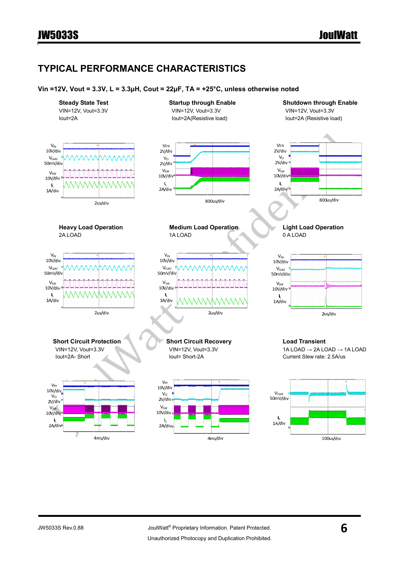### TYPICAL PERFORMANCE CHARACTERISTICS

#### Vin =12V, Vout = 3.3V, L = 3.3µH, Cout = 22µF, TA = +25°C, unless otherwise noted

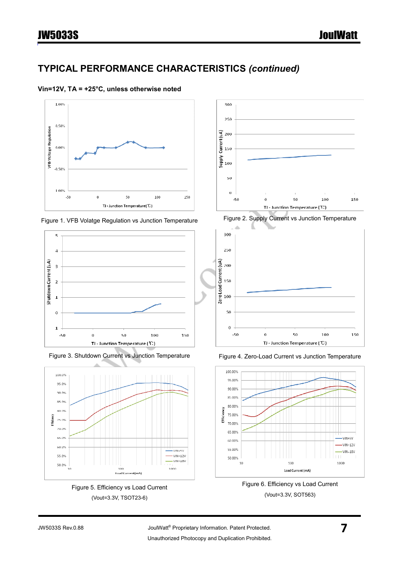### TYPICAL PERFORMANCE CHARACTERISTICS (continued)

#### Vin=12V, TA = +25°C, unless otherwise noted











Figure 5. Efficiency vs Load Current (Vout=3.3V, TSOT23-6)













#### JW5033S Rev.0.88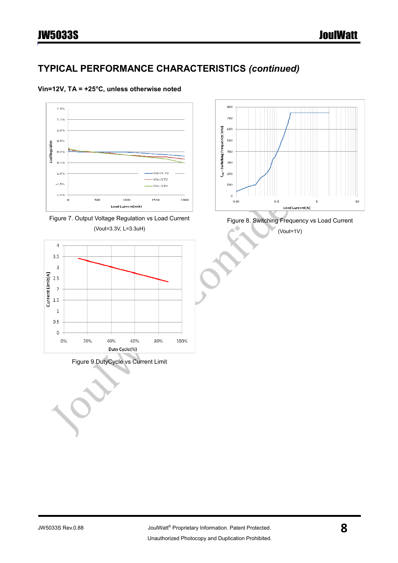### JW5033S JoulWatt

 $10$ 

### TYPICAL PERFORMANCE CHARACTERISTICS (continued)

#### Vin=12V, TA = +25°C, unless otherwise noted



Figure 9.DutyCycle vs Current Limit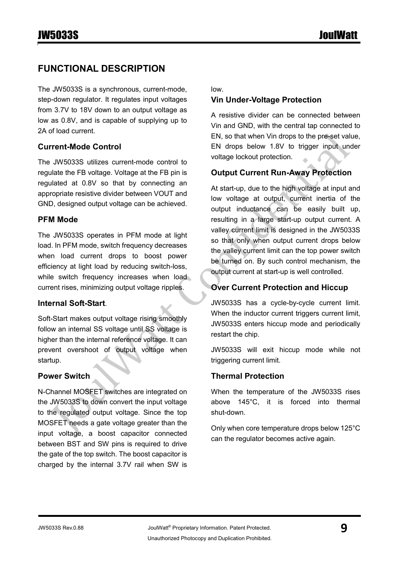### FUNCTIONAL DESCRIPTION

The JW5033S is a synchronous, current-mode, step-down regulator. It regulates input voltages from 3.7V to 18V down to an output voltage as low as 0.8V, and is capable of supplying up to 2A of load current.

#### Current-Mode Control

The JW5033S utilizes current-mode control to regulate the FB voltage. Voltage at the FB pin is regulated at 0.8V so that by connecting an appropriate resistive divider between VOUT and GND, designed output voltage can be achieved.

#### PFM Mode

The JW5033S operates in PFM mode at light load. In PFM mode, switch frequency decreases when load current drops to boost power efficiency at light load by reducing switch-loss, while switch frequency increases when load current rises, minimizing output voltage ripples.

#### Internal Soft-Start.

Soft-Start makes output voltage rising smoothly follow an internal SS voltage until SS voltage is higher than the internal reference voltage. It can prevent overshoot of output voltage when startup.

#### Power Switch

N-Channel MOSFET switches are integrated on the JW5033S to down convert the input voltage to the regulated output voltage. Since the top MOSFET needs a gate voltage greater than the input voltage, a boost capacitor connected between BST and SW pins is required to drive the gate of the top switch. The boost capacitor is charged by the internal 3.7V rail when SW is low.

#### Vin Under-Voltage Protection

A resistive divider can be connected between Vin and GND, with the central tap connected to EN, so that when Vin drops to the pre-set value, EN drops below 1.8V to trigger input under voltage lockout protection.

### Output Current Run-Away Protection

At start-up, due to the high voltage at input and low voltage at output, current inertia of the output inductance can be easily built up, resulting in a large start-up output current. A valley current limit is designed in the JW5033S so that only when output current drops below the valley current limit can the top power switch be turned on. By such control mechanism, the output current at start-up is well controlled.

#### Over Current Protection and Hiccup

JW5033S has a cycle-by-cycle current limit. When the inductor current triggers current limit, JW5033S enters hiccup mode and periodically restart the chip.

JW5033S will exit hiccup mode while not triggering current limit.

#### Thermal Protection

When the temperature of the JW5033S rises above 145°C, it is forced into thermal shut-down.

Only when core temperature drops below 125°C can the regulator becomes active again.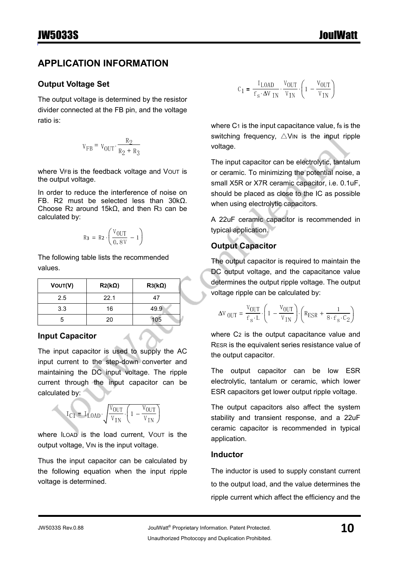### APPLICATION INFORMATION

#### Output Voltage Set

The output voltage is determined by the resistor divider connected at the FB pin, and the voltage ratio is:

$$
v_{FB} = v_{OUT} \cdot \frac{R_2}{R_2 + R_3}
$$

where VFB is the feedback voltage and VOUT is the output voltage.

In order to reduce the interference of noise on FB. R2 must be selected less than 30kΩ. Choose R2 around 15kΩ, and then R3 can be calculated by:

$$
R_3 = R_2 \cdot \left(\frac{V_{OUT}}{0.8V} - 1\right)
$$

The following table lists the recommended values.

| VOUT(V) | $R2(k\Omega)$ | $R3(k\Omega)$ |
|---------|---------------|---------------|
| 2.5     | 22.1          | 47            |
| 3.3     | 16            | 49.9          |
| 5       | 20            | 105           |

#### Input Capacitor

The input capacitor is used to supply the AC input current to the step-down converter and maintaining the DC input voltage. The ripple current through the input capacitor can be calculated by:

$$
\mathbf{I}_{\text{C1}} = \mathbf{I}_{\text{LOAD}} \cdot \sqrt{\frac{\mathbf{V}_{\text{OUT}}}{\mathbf{V}_{\text{IN}}}} \cdot \left(1 - \frac{\mathbf{V}_{\text{OUT}}}{\mathbf{V}_{\text{IN}}}\right)
$$

where ILOAD is the load current, VOUT is the output voltage, VIN is the input voltage.

Thus the input capacitor can be calculated by the following equation when the input ripple voltage is determined.

$$
C_1 = \frac{I_{\text{LOAD}}}{f_s \cdot \Delta V_{\text{IN}}} \cdot \frac{V_{\text{OUT}}}{V_{\text{IN}}} \cdot \left(1 - \frac{V_{\text{OUT}}}{V_{\text{IN}}}\right)
$$

where  $C_1$  is the input capacitance value, is is the switching frequency,  $\triangle$ VIN is the input ripple voltage.

The input capacitor can be electrolytic, tantalum or ceramic. To minimizing the potential noise, a small X5R or X7R ceramic capacitor, i.e. 0.1uF, should be placed as close to the IC as possible when using electrolytic capacitors.

A 22uF ceramic capacitor is recommended in typical application.

### Output Capacitor

The output capacitor is required to maintain the DC output voltage, and the capacitance value determines the output ripple voltage. The output voltage ripple can be calculated by:

$$
\Delta V_{OUT} = \frac{V_{OUT}}{f_s \cdot L} \cdot \left(1 - \frac{V_{OUT}}{V_{IN}}\right) \cdot \left(R_{ESR} + \frac{1}{8 \cdot f_s \cdot C_2}\right)
$$

where C2 is the output capacitance value and RESR is the equivalent series resistance value of the output capacitor.

The output capacitor can be low ESR electrolytic, tantalum or ceramic, which lower ESR capacitors get lower output ripple voltage.

The output capacitors also affect the system stability and transient response, and a 22uF ceramic capacitor is recommended in typical application.

#### Inductor

The inductor is used to supply constant current to the output load, and the value determines the ripple current which affect the efficiency and the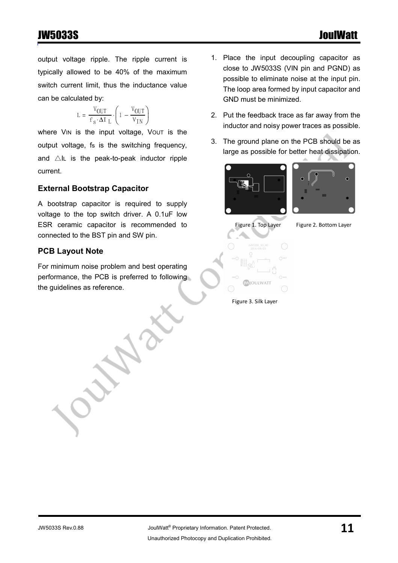### JW5033S JoulWatt

output voltage ripple. The ripple current is typically allowed to be 40% of the maximum switch current limit, thus the inductance value can be calculated by:

$$
\mathbf{L} = \frac{\mathbf{V}_{\text{OUT}}}{\mathbf{f}_{\text{s}} \cdot \mathbf{\Delta I}_{\text{L}}} \cdot \left( 1 - \frac{\mathbf{V}_{\text{OUT}}}{\mathbf{V}_{\text{IN}}} \right)
$$

where VIN is the input voltage, Vout is the output voltage, fs is the switching frequency, and  $\triangle$ IL is the peak-to-peak inductor ripple current.

#### External Bootstrap Capacitor

A bootstrap capacitor is required to supply voltage to the top switch driver. A 0.1uF low ESR ceramic capacitor is recommended to connected to the BST pin and SW pin.

#### PCB Layout Note

For minimum noise problem and best operating performance, the PCB is preferred to following the guidelines as reference.

- 1. Place the input decoupling capacitor as close to JW5033S (VIN pin and PGND) as possible to eliminate noise at the input pin. The loop area formed by input capacitor and GND must be minimized.
- 2. Put the feedback trace as far away from the inductor and noisy power traces as possible.
- 3. The ground plane on the PCB should be as large as possible for better heat dissipation.









**MOULWATT** Figure 3. Silk Layer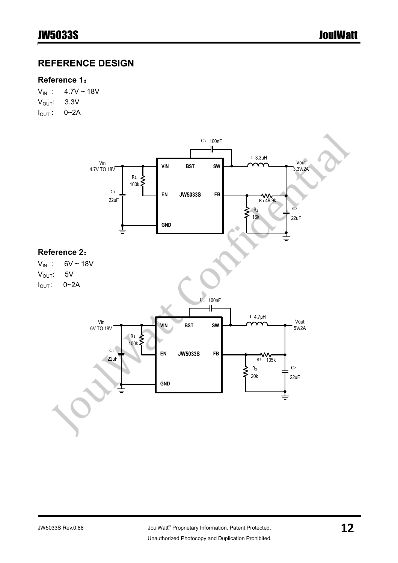### REFERENCE DESIGN

#### Reference 1:

 $V_{IN}$  : 4.7V ~ 18V  $V_{\text{OUT}}$ : 3.3V  $I_{OUT}$ : 0~2A

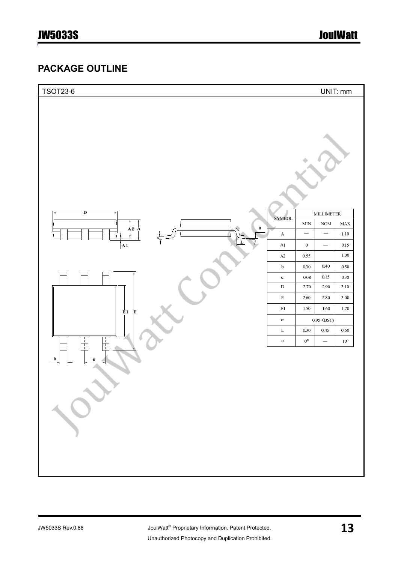### PACKAGE OUTLINE

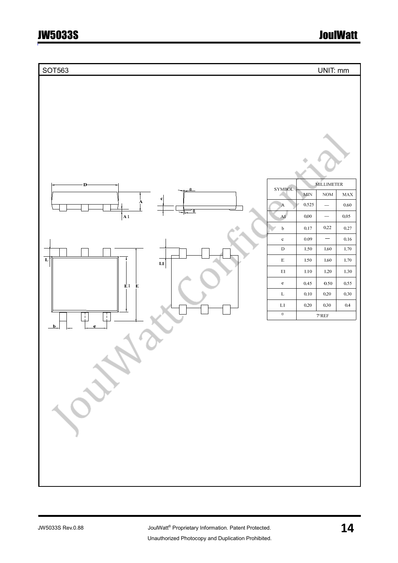## JW5033S JoulWatt